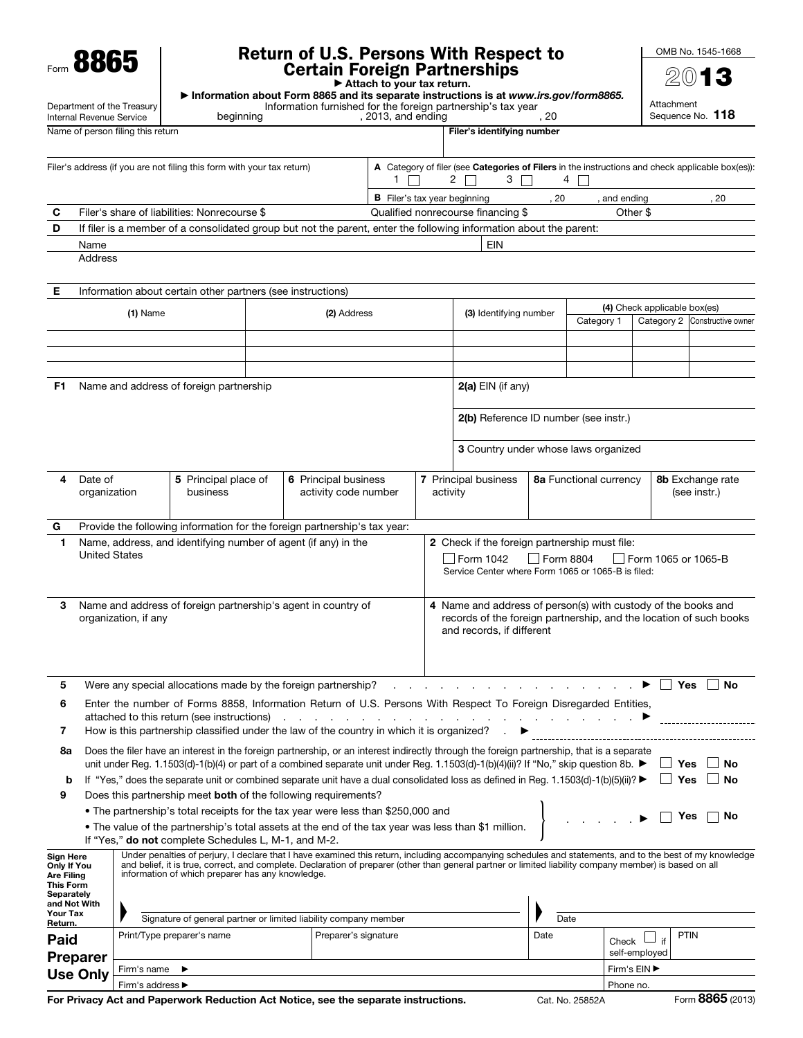Form 8865

## Return of U.S. Persons With Respect to Certain Foreign Partnerships

OMB No. 1545-1668  $201$ 

|                                                                                                                                                                                                                                                                |                                                                                                                                          | νσιταιπ Γυισιχιι Γαιτιισισιιμο<br>Attach to your tax return. |                                                                                                                                                                                                                                                                                                                                                                         |                                                                                                                              |                      |                                                                                                                                                       |                                                            |                                                                                                                  |                                       |                  |                               |                               |
|----------------------------------------------------------------------------------------------------------------------------------------------------------------------------------------------------------------------------------------------------------------|------------------------------------------------------------------------------------------------------------------------------------------|--------------------------------------------------------------|-------------------------------------------------------------------------------------------------------------------------------------------------------------------------------------------------------------------------------------------------------------------------------------------------------------------------------------------------------------------------|------------------------------------------------------------------------------------------------------------------------------|----------------------|-------------------------------------------------------------------------------------------------------------------------------------------------------|------------------------------------------------------------|------------------------------------------------------------------------------------------------------------------|---------------------------------------|------------------|-------------------------------|-------------------------------|
| Department of the Treasury                                                                                                                                                                                                                                     |                                                                                                                                          |                                                              |                                                                                                                                                                                                                                                                                                                                                                         |                                                                                                                              |                      | Information about Form 8865 and its separate instructions is at www.irs.gov/form8865.<br>Information furnished for the foreign partnership's tax year |                                                            |                                                                                                                  | Attachment                            |                  |                               |                               |
| Internal Revenue Service<br>beginning<br>Name of person filing this return                                                                                                                                                                                     |                                                                                                                                          |                                                              |                                                                                                                                                                                                                                                                                                                                                                         | , 2013, and ending                                                                                                           |                      | Filer's identifying number                                                                                                                            | . 20                                                       |                                                                                                                  |                                       | Sequence No. 118 |                               |                               |
|                                                                                                                                                                                                                                                                |                                                                                                                                          |                                                              |                                                                                                                                                                                                                                                                                                                                                                         |                                                                                                                              |                      |                                                                                                                                                       |                                                            |                                                                                                                  |                                       |                  |                               |                               |
| Filer's address (if you are not filing this form with your tax return)                                                                                                                                                                                         |                                                                                                                                          |                                                              |                                                                                                                                                                                                                                                                                                                                                                         | A Category of filer (see Categories of Filers in the instructions and check applicable box(es)):<br>2 $\Box$<br>3<br>1.<br>4 |                      |                                                                                                                                                       |                                                            |                                                                                                                  |                                       |                  |                               |                               |
|                                                                                                                                                                                                                                                                |                                                                                                                                          |                                                              |                                                                                                                                                                                                                                                                                                                                                                         |                                                                                                                              |                      | <b>B</b> Filer's tax year beginning                                                                                                                   |                                                            |                                                                                                                  | . 20                                  | and ending       |                               | , 20                          |
| С                                                                                                                                                                                                                                                              |                                                                                                                                          | Filer's share of liabilities: Nonrecourse \$                 |                                                                                                                                                                                                                                                                                                                                                                         |                                                                                                                              |                      |                                                                                                                                                       | Qualified nonrecourse financing \$                         |                                                                                                                  |                                       | Other \$         |                               |                               |
| D                                                                                                                                                                                                                                                              | If filer is a member of a consolidated group but not the parent, enter the following information about the parent:<br><b>EIN</b><br>Name |                                                              |                                                                                                                                                                                                                                                                                                                                                                         |                                                                                                                              |                      |                                                                                                                                                       |                                                            |                                                                                                                  |                                       |                  |                               |                               |
|                                                                                                                                                                                                                                                                | Address                                                                                                                                  |                                                              |                                                                                                                                                                                                                                                                                                                                                                         |                                                                                                                              |                      |                                                                                                                                                       |                                                            |                                                                                                                  |                                       |                  |                               |                               |
| Е                                                                                                                                                                                                                                                              |                                                                                                                                          |                                                              | Information about certain other partners (see instructions)                                                                                                                                                                                                                                                                                                             |                                                                                                                              |                      |                                                                                                                                                       |                                                            |                                                                                                                  |                                       |                  |                               |                               |
|                                                                                                                                                                                                                                                                |                                                                                                                                          | $(1)$ Name                                                   |                                                                                                                                                                                                                                                                                                                                                                         |                                                                                                                              | (2) Address          |                                                                                                                                                       |                                                            | (3) Identifying number                                                                                           |                                       |                  | (4) Check applicable box(es)  |                               |
|                                                                                                                                                                                                                                                                |                                                                                                                                          |                                                              |                                                                                                                                                                                                                                                                                                                                                                         |                                                                                                                              |                      |                                                                                                                                                       |                                                            |                                                                                                                  |                                       | Category 1       |                               | Category 2 Constructive owner |
|                                                                                                                                                                                                                                                                |                                                                                                                                          |                                                              |                                                                                                                                                                                                                                                                                                                                                                         |                                                                                                                              |                      |                                                                                                                                                       |                                                            |                                                                                                                  |                                       |                  |                               |                               |
| F1.                                                                                                                                                                                                                                                            |                                                                                                                                          |                                                              | Name and address of foreign partnership                                                                                                                                                                                                                                                                                                                                 |                                                                                                                              |                      |                                                                                                                                                       |                                                            | $2(a)$ EIN (if any)                                                                                              |                                       |                  |                               |                               |
|                                                                                                                                                                                                                                                                |                                                                                                                                          |                                                              |                                                                                                                                                                                                                                                                                                                                                                         |                                                                                                                              |                      |                                                                                                                                                       |                                                            |                                                                                                                  | 2(b) Reference ID number (see instr.) |                  |                               |                               |
|                                                                                                                                                                                                                                                                |                                                                                                                                          |                                                              |                                                                                                                                                                                                                                                                                                                                                                         |                                                                                                                              |                      |                                                                                                                                                       |                                                            | 3 Country under whose laws organized                                                                             |                                       |                  |                               |                               |
| 4                                                                                                                                                                                                                                                              | Date of<br>5 Principal place of<br>6 Principal business<br>activity code number<br>organization<br>business                              |                                                              |                                                                                                                                                                                                                                                                                                                                                                         |                                                                                                                              | activity             | 7 Principal business                                                                                                                                  | 8a Functional currency<br>8b Exchange rate<br>(see instr.) |                                                                                                                  |                                       |                  |                               |                               |
| G                                                                                                                                                                                                                                                              |                                                                                                                                          |                                                              | Provide the following information for the foreign partnership's tax year:                                                                                                                                                                                                                                                                                               |                                                                                                                              |                      |                                                                                                                                                       |                                                            |                                                                                                                  |                                       |                  |                               |                               |
| 1.                                                                                                                                                                                                                                                             | <b>United States</b>                                                                                                                     |                                                              | Name, address, and identifying number of agent (if any) in the                                                                                                                                                                                                                                                                                                          |                                                                                                                              |                      |                                                                                                                                                       |                                                            | 2 Check if the foreign partnership must file:<br>Form 1042<br>Service Center where Form 1065 or 1065-B is filed: | Form 8804                             |                  | Form 1065 or 1065-B           |                               |
| 4 Name and address of person(s) with custody of the books and<br>Name and address of foreign partnership's agent in country of<br>3<br>organization, if any<br>records of the foreign partnership, and the location of such books<br>and records, if different |                                                                                                                                          |                                                              |                                                                                                                                                                                                                                                                                                                                                                         |                                                                                                                              |                      |                                                                                                                                                       |                                                            |                                                                                                                  |                                       |                  |                               |                               |
| 5                                                                                                                                                                                                                                                              |                                                                                                                                          |                                                              | Were any special allocations made by the foreign partnership?                                                                                                                                                                                                                                                                                                           |                                                                                                                              |                      |                                                                                                                                                       |                                                            | .                                                                                                                |                                       |                  |                               | <b>Yes</b><br>No              |
| 6                                                                                                                                                                                                                                                              |                                                                                                                                          |                                                              | Enter the number of Forms 8858, Information Return of U.S. Persons With Respect To Foreign Disregarded Entities,<br>attached to this return (see instructions) and the contract of the contract of the instructions of the contract of the contract of the contract of the contract of the contract of the contract of the contract of the contrac                      |                                                                                                                              |                      |                                                                                                                                                       |                                                            |                                                                                                                  |                                       |                  |                               |                               |
| 7                                                                                                                                                                                                                                                              |                                                                                                                                          |                                                              | How is this partnership classified under the law of the country in which it is organized?                                                                                                                                                                                                                                                                               |                                                                                                                              |                      |                                                                                                                                                       |                                                            |                                                                                                                  |                                       |                  |                               |                               |
| 8а                                                                                                                                                                                                                                                             |                                                                                                                                          |                                                              | Does the filer have an interest in the foreign partnership, or an interest indirectly through the foreign partnership, that is a separate<br>unit under Reg. 1.1503(d)-1(b)(4) or part of a combined separate unit under Reg. 1.1503(d)-1(b)(4)(ii)? If "No," skip question 8b. ▶                                                                                       |                                                                                                                              |                      |                                                                                                                                                       |                                                            |                                                                                                                  |                                       |                  |                               | No<br>Yes                     |
| b                                                                                                                                                                                                                                                              |                                                                                                                                          |                                                              | If "Yes," does the separate unit or combined separate unit have a dual consolidated loss as defined in Reg. 1.1503(d)-1(b)(5)(ii)? ▶                                                                                                                                                                                                                                    |                                                                                                                              |                      |                                                                                                                                                       |                                                            |                                                                                                                  |                                       |                  |                               | Yes<br>No                     |
| 9                                                                                                                                                                                                                                                              |                                                                                                                                          |                                                              | Does this partnership meet both of the following requirements?                                                                                                                                                                                                                                                                                                          |                                                                                                                              |                      |                                                                                                                                                       |                                                            |                                                                                                                  |                                       |                  |                               |                               |
|                                                                                                                                                                                                                                                                |                                                                                                                                          |                                                              | • The partnership's total receipts for the tax year were less than \$250,000 and                                                                                                                                                                                                                                                                                        |                                                                                                                              |                      |                                                                                                                                                       |                                                            |                                                                                                                  |                                       |                  |                               | Yes<br>No                     |
|                                                                                                                                                                                                                                                                |                                                                                                                                          |                                                              | . The value of the partnership's total assets at the end of the tax year was less than \$1 million.<br>If "Yes," <b>do not</b> complete Schedules L, M-1, and M-2.                                                                                                                                                                                                      |                                                                                                                              |                      |                                                                                                                                                       |                                                            |                                                                                                                  |                                       |                  |                               |                               |
| <b>Sign Here</b><br><b>Only If You</b><br><b>Are Filing</b><br><b>This Form</b><br>Separately                                                                                                                                                                  |                                                                                                                                          |                                                              | Under penalties of perjury, I declare that I have examined this return, including accompanying schedules and statements, and to the best of my knowledge<br>and belief, it is true, correct, and complete. Declaration of preparer (other than general partner or limited liability company member) is based on all<br>information of which preparer has any knowledge. |                                                                                                                              |                      |                                                                                                                                                       |                                                            |                                                                                                                  |                                       |                  |                               |                               |
| Your Tax                                                                                                                                                                                                                                                       | and Not With                                                                                                                             |                                                              | Signature of general partner or limited liability company member                                                                                                                                                                                                                                                                                                        |                                                                                                                              |                      |                                                                                                                                                       |                                                            |                                                                                                                  | Date                                  |                  |                               |                               |
| Return.<br>Paid                                                                                                                                                                                                                                                |                                                                                                                                          |                                                              | Print/Type preparer's name                                                                                                                                                                                                                                                                                                                                              |                                                                                                                              | Preparer's signature |                                                                                                                                                       |                                                            |                                                                                                                  | Date                                  | Check            | if                            | <b>PTIN</b>                   |
|                                                                                                                                                                                                                                                                | <b>Preparer</b>                                                                                                                          | Firm's name                                                  |                                                                                                                                                                                                                                                                                                                                                                         |                                                                                                                              |                      |                                                                                                                                                       |                                                            |                                                                                                                  |                                       |                  | self-employed<br>Firm's EIN ▶ |                               |
| <b>Use Only</b>                                                                                                                                                                                                                                                |                                                                                                                                          |                                                              | Firm's address ▶<br>Phone no.                                                                                                                                                                                                                                                                                                                                           |                                                                                                                              |                      |                                                                                                                                                       |                                                            |                                                                                                                  |                                       |                  |                               |                               |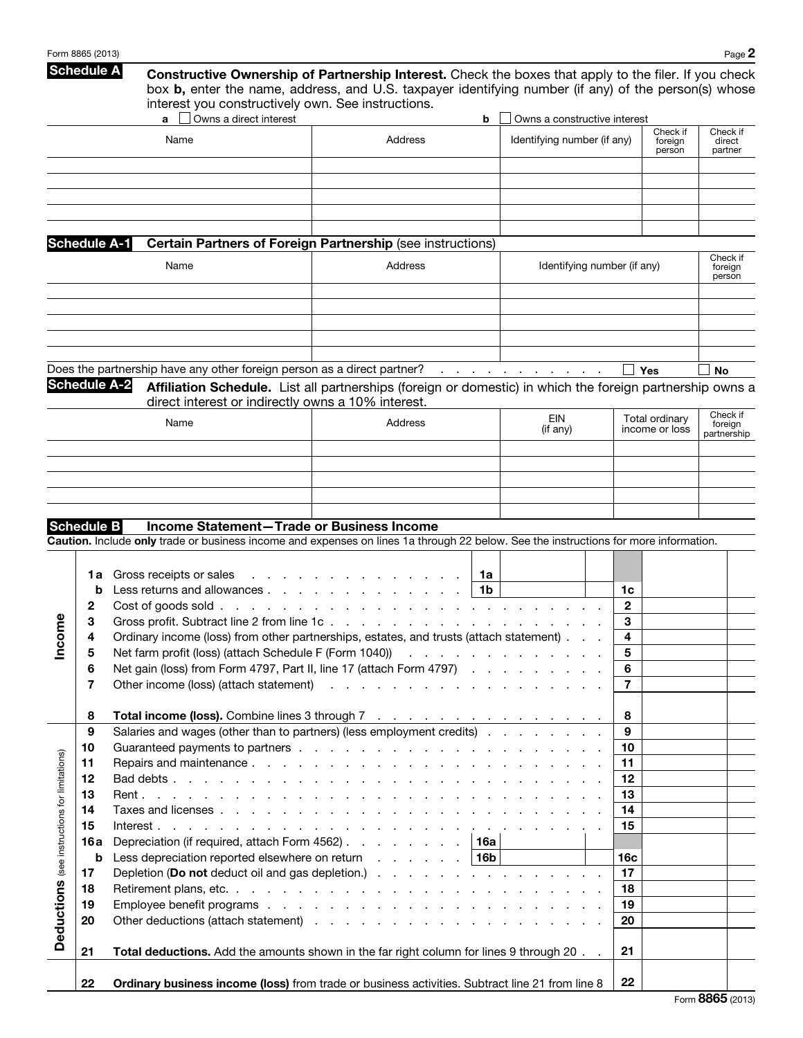|                                               | Form 8865 (2013)                                              |                                                                                                                                                                                                                                                                                                                                                                                                                                                                                                                                                                                          |         |                                                                      |                                                                                | Page 2                             |
|-----------------------------------------------|---------------------------------------------------------------|------------------------------------------------------------------------------------------------------------------------------------------------------------------------------------------------------------------------------------------------------------------------------------------------------------------------------------------------------------------------------------------------------------------------------------------------------------------------------------------------------------------------------------------------------------------------------------------|---------|----------------------------------------------------------------------|--------------------------------------------------------------------------------|------------------------------------|
|                                               | <b>Schedule A</b>                                             | <b>Constructive Ownership of Partnership Interest.</b> Check the boxes that apply to the filer. If you check<br>box b, enter the name, address, and U.S. taxpayer identifying number (if any) of the person(s) whose<br>interest you constructively own. See instructions.                                                                                                                                                                                                                                                                                                               |         |                                                                      |                                                                                |                                    |
|                                               |                                                               | Owns a direct interest                                                                                                                                                                                                                                                                                                                                                                                                                                                                                                                                                                   |         | Owns a constructive interest<br>b                                    |                                                                                |                                    |
|                                               |                                                               | Name                                                                                                                                                                                                                                                                                                                                                                                                                                                                                                                                                                                     | Address | Identifying number (if any)                                          | Check if<br>foreign<br>person                                                  | Check if<br>direct<br>partner      |
|                                               |                                                               |                                                                                                                                                                                                                                                                                                                                                                                                                                                                                                                                                                                          |         |                                                                      |                                                                                |                                    |
|                                               | <b>Schedule A-1</b>                                           | <b>Certain Partners of Foreign Partnership (see instructions)</b>                                                                                                                                                                                                                                                                                                                                                                                                                                                                                                                        |         |                                                                      |                                                                                |                                    |
|                                               |                                                               | Name                                                                                                                                                                                                                                                                                                                                                                                                                                                                                                                                                                                     | Address | Identifying number (if any)                                          |                                                                                | Check if<br>foreign<br>person      |
|                                               | <b>Schedule A-2</b>                                           | Does the partnership have any other foreign person as a direct partner?                                                                                                                                                                                                                                                                                                                                                                                                                                                                                                                  |         | المنابعة والمتنابذ والمتنابذ والمتناول والمتناول                     | <b>Yes</b>                                                                     | <b>No</b>                          |
|                                               |                                                               | Affiliation Schedule. List all partnerships (foreign or domestic) in which the foreign partnership owns a<br>direct interest or indirectly owns a 10% interest.                                                                                                                                                                                                                                                                                                                                                                                                                          |         |                                                                      |                                                                                |                                    |
|                                               |                                                               | Name                                                                                                                                                                                                                                                                                                                                                                                                                                                                                                                                                                                     | Address | EIN<br>(if any)                                                      | Total ordinary<br>income or loss                                               | Check if<br>foreign<br>partnership |
|                                               |                                                               |                                                                                                                                                                                                                                                                                                                                                                                                                                                                                                                                                                                          |         |                                                                      |                                                                                |                                    |
|                                               | <b>Schedule B</b>                                             | Income Statement-Trade or Business Income<br>Caution. Include only trade or business income and expenses on lines 1a through 22 below. See the instructions for more information.                                                                                                                                                                                                                                                                                                                                                                                                        |         |                                                                      |                                                                                |                                    |
| <b>eur</b><br><b>Sou</b>                      | 1a<br>b<br>2<br>З<br>4<br>5<br>6<br>7                         | Gross receipts or sales<br>Less returns and allowances<br>Cost of goods sold<br>Gross profit. Subtract line 2 from line 1c.<br>Ordinary income (loss) from other partnerships, estates, and trusts (attach statement)<br>Net farm profit (loss) (attach Schedule F (Form 1040))<br>Net gain (loss) from Form 4797, Part II, line 17 (attach Form 4797)<br>Other income (loss) (attach statement) (and a series of the series of the statement) (b) and a series of the series of the statement of the statement of the statement of the statement of the statement of the statement of t |         | 1a<br>1 <sub>b</sub><br>and a series of the contract of the contract | 1c<br>$\mathbf{2}$<br>3<br>$\overline{\mathbf{4}}$<br>5<br>6<br>$\overline{7}$ |                                    |
| Deductions (see instructions for limitations) | 8<br>9<br>10<br>11<br>12<br>13<br>14<br>15<br>16 a<br>b<br>17 | Total income (loss). Combine lines 3 through 7<br>Salaries and wages (other than to partners) (less employment credits)<br>Depreciation (if required, attach Form 4562)<br>Less depreciation reported elsewhere on return $\ldots$ $\ldots$ $\ldots$   16b<br>Depletion (Do not deduct oil and gas depletion.)                                                                                                                                                                                                                                                                           |         | 16a                                                                  | 8<br>9<br>10<br>11<br>12<br>13<br>14<br>15<br>16c<br>17                        |                                    |
|                                               | 18<br>19<br>20                                                |                                                                                                                                                                                                                                                                                                                                                                                                                                                                                                                                                                                          |         |                                                                      | 18<br>19<br>20<br>21                                                           |                                    |
|                                               | 21<br>22                                                      | Total deductions. Add the amounts shown in the far right column for lines 9 through 20. .<br>Ordinary business income (loss) from trade or business activities. Subtract line 21 from line 8                                                                                                                                                                                                                                                                                                                                                                                             |         |                                                                      | 22                                                                             |                                    |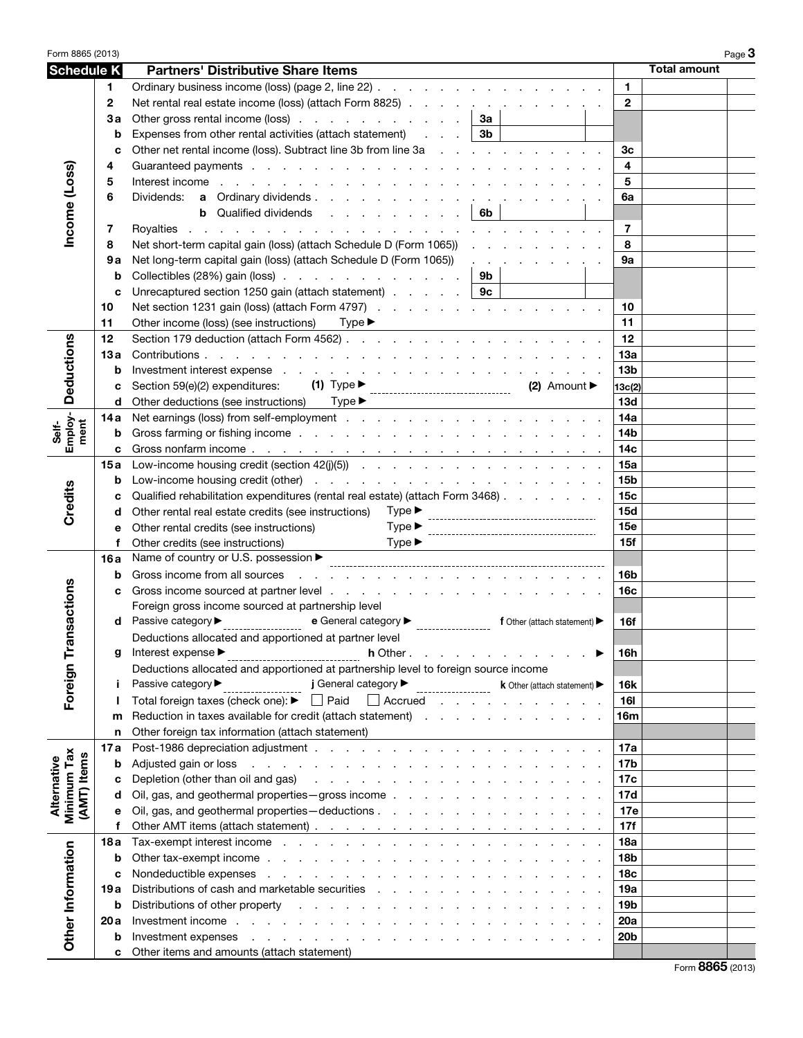| Form 8865 (2013)           |              |                                                                                                                                                                                                                                |                 |                     |  |
|----------------------------|--------------|--------------------------------------------------------------------------------------------------------------------------------------------------------------------------------------------------------------------------------|-----------------|---------------------|--|
| <b>Schedule K</b>          |              | <b>Partners' Distributive Share Items</b>                                                                                                                                                                                      |                 | <b>Total amount</b> |  |
|                            | 1.           | Ordinary business income (loss) (page 2, line 22)                                                                                                                                                                              | 1.              |                     |  |
|                            | $\mathbf{2}$ | Net rental real estate income (loss) (attach Form 8825)                                                                                                                                                                        | $\mathbf{2}$    |                     |  |
|                            | За           | Other gross rental income (loss)<br>За                                                                                                                                                                                         |                 |                     |  |
|                            | b            | Expenses from other rental activities (attach statement)<br>3b                                                                                                                                                                 |                 |                     |  |
|                            | C            | Other net rental income (loss). Subtract line 3b from line 3a                                                                                                                                                                  | Зс              |                     |  |
|                            | 4            |                                                                                                                                                                                                                                | 4               |                     |  |
|                            | 5            | Interest income<br>the contract of the contract of the contract of the contract of the contract of the contract of the contract of                                                                                             | 5               |                     |  |
|                            |              |                                                                                                                                                                                                                                |                 |                     |  |
|                            | 6            | Dividends:                                                                                                                                                                                                                     | 6a              |                     |  |
|                            |              | <b>b</b> Qualified dividends<br>6b                                                                                                                                                                                             |                 |                     |  |
| Income (Loss)              | 7            | Royalties<br>the contract of the contract of the contract of the contract of the contract of the contract of the contract of                                                                                                   | 7               |                     |  |
|                            | 8            | Net short-term capital gain (loss) (attach Schedule D (Form 1065))                                                                                                                                                             | 8               |                     |  |
|                            | 9a           | Net long-term capital gain (loss) (attach Schedule D (Form 1065))<br>and the company of the company                                                                                                                            | 9а              |                     |  |
|                            | b            | Collectibles (28%) gain (loss)<br>9b                                                                                                                                                                                           |                 |                     |  |
|                            | c            | Unrecaptured section 1250 gain (attach statement)  <br>9с                                                                                                                                                                      |                 |                     |  |
|                            | 10           | Net section 1231 gain (loss) (attach Form 4797)                                                                                                                                                                                | 10              |                     |  |
|                            | 11           | Other income (loss) (see instructions)<br>$Type \blacktriangleright$                                                                                                                                                           | 11              |                     |  |
|                            | 12           |                                                                                                                                                                                                                                | 12              |                     |  |
| <b>Deductions</b>          | 13а          | Contributions.<br>the contract of the contract of the contract of the contract of the contract of                                                                                                                              | <b>13a</b>      |                     |  |
|                            | b            | Investment interest expense response to the contract of the contract of the contract of the contract of the contract of the contract of the contract of the contract of the contract of the contract of the contract of the co | 13 <sub>b</sub> |                     |  |
|                            |              | $(1)$ Type $\blacktriangleright$<br>Section 59(e)(2) expenditures:<br>$(2)$ Amount<br>------------------------------------                                                                                                     | 13c(2)          |                     |  |
|                            | d            | Other deductions (see instructions) Type ▶                                                                                                                                                                                     | 13d             |                     |  |
| Self-<br>Employ-<br>ment   | 14 a         |                                                                                                                                                                                                                                | 14a             |                     |  |
|                            | b            |                                                                                                                                                                                                                                | 14 <sub>b</sub> |                     |  |
|                            | c            |                                                                                                                                                                                                                                | 14 <sub>c</sub> |                     |  |
|                            | 15a          |                                                                                                                                                                                                                                | 15a             |                     |  |
|                            | b            |                                                                                                                                                                                                                                | 15 <sub>b</sub> |                     |  |
| Credits                    |              | Qualified rehabilitation expenditures (rental real estate) (attach Form 3468)                                                                                                                                                  | 15 <sub>c</sub> |                     |  |
|                            | d            | $Type \blacktriangleright$<br>Other rental real estate credits (see instructions)                                                                                                                                              | 15d             |                     |  |
|                            | е            | $Type \blacktriangleright$<br>Other rental credits (see instructions)                                                                                                                                                          | <b>15e</b>      |                     |  |
|                            |              | $Type \blacktriangleright$<br>Other credits (see instructions)                                                                                                                                                                 | 15f             |                     |  |
|                            | 16a          | Name of country or U.S. possession ▶                                                                                                                                                                                           |                 |                     |  |
|                            | b            | Gross income from all sources<br>the contract of the contract of the contract of the contract of the contract of the contract of the contract of                                                                               | 16b             |                     |  |
|                            |              | Gross income sourced at partner level                                                                                                                                                                                          | 16 <sub>c</sub> |                     |  |
| sactions                   |              | Foreign gross income sourced at partnership level                                                                                                                                                                              |                 |                     |  |
|                            | d            | Passive category ▶<br>____________________<br>e General category $\blacktriangleright$<br><b>f</b> Other (attach statement) $\blacktriangleright$                                                                              | 16f             |                     |  |
| c                          |              | Deductions allocated and apportioned at partner level                                                                                                                                                                          |                 |                     |  |
| Foreign Tra                | g            | Interest expense ▶<br>h Other.<br>and a straight and a straight                                                                                                                                                                | 16h             |                     |  |
|                            |              | Deductions allocated and apportioned at partnership level to foreign source income                                                                                                                                             |                 |                     |  |
|                            |              | j General category<br>Passive category ▶<br>k Other (attach statement)                                                                                                                                                         | 16k             |                     |  |
|                            |              | Total foreign taxes (check one): ▶<br>$\Box$ Paid<br>$\Box$ Accrued $\Box$                                                                                                                                                     | <b>16I</b>      |                     |  |
|                            | m            | Reduction in taxes available for credit (attach statement)                                                                                                                                                                     | 16m             |                     |  |
|                            | n            | Other foreign tax information (attach statement)                                                                                                                                                                               |                 |                     |  |
|                            | 17 a         |                                                                                                                                                                                                                                | 17a             |                     |  |
| Minimum Tax                | b            | Adjusted gain or loss<br>the contract of the contract of the contract of the contract of the contract of                                                                                                                       | 17 <sub>b</sub> |                     |  |
|                            | c            |                                                                                                                                                                                                                                | 17c             |                     |  |
|                            | d            | Oil, gas, and geothermal properties - gross income                                                                                                                                                                             | 17d             |                     |  |
| (AMT) Items<br>Alternative | е            |                                                                                                                                                                                                                                | 17e             |                     |  |
|                            | f            |                                                                                                                                                                                                                                | 17f             |                     |  |
|                            | 18a          | Tax-exempt interest income response to the contract of the contract of the contract of the contract of the contract of the contract of the contract of the contract of the contract of the contract of the contract of the con | <b>18a</b>      |                     |  |
| Other Information          | b            |                                                                                                                                                                                                                                | 18 <sub>b</sub> |                     |  |
|                            | c            | Nondeductible expenses response to the contract of the contract of the contract of the contract of the contract of the contract of the contract of the contract of the contract of the contract of the contract of the contrac | 18 <sub>c</sub> |                     |  |
|                            | 19 a         | Distributions of cash and marketable securities example and the securities of the securities of the securities                                                                                                                 | 19a             |                     |  |
|                            |              |                                                                                                                                                                                                                                | 19 <sub>b</sub> |                     |  |
|                            | b            |                                                                                                                                                                                                                                | 20a             |                     |  |
|                            | 20 a         |                                                                                                                                                                                                                                |                 |                     |  |
|                            | b            | Investment expenses response to the contract of the contract of the contract of the contract of the contract of the contract of the contract of the contract of the contract of the contract of the contract of the contract o | 20 <sub>b</sub> |                     |  |
|                            | c            | Other items and amounts (attach statement)                                                                                                                                                                                     |                 | nner                |  |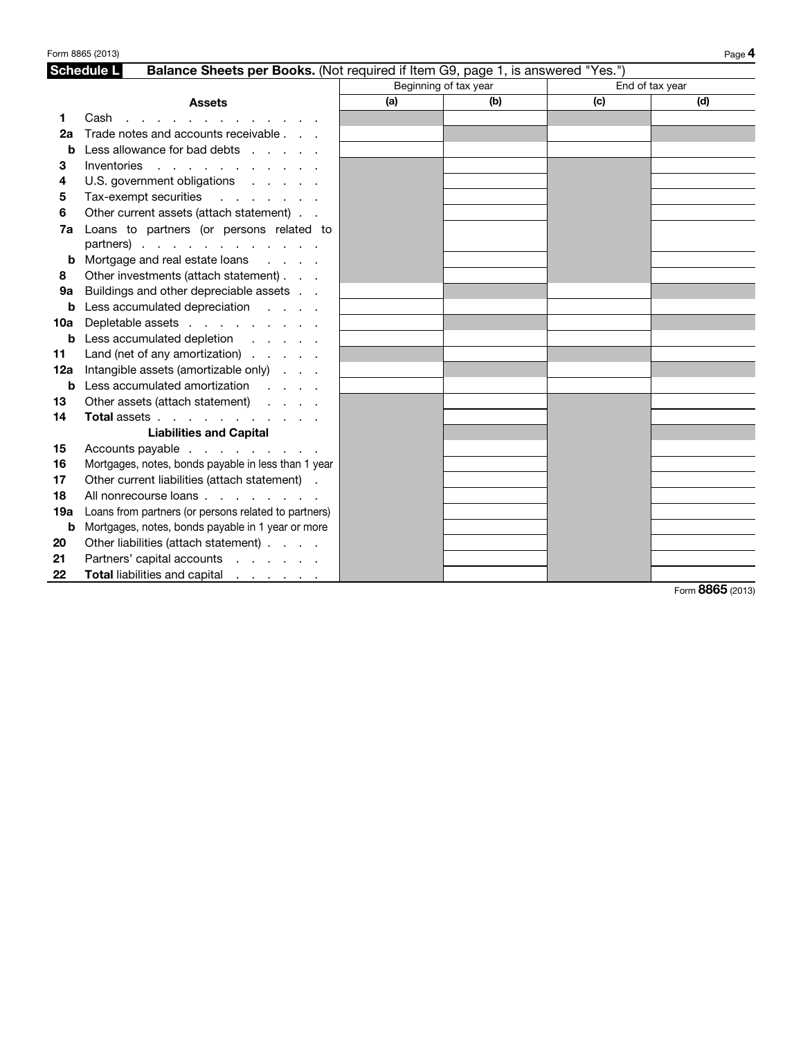|     | Form 8865 (2013)                                                                                     |     |                       |                 | Page 4 |  |  |  |
|-----|------------------------------------------------------------------------------------------------------|-----|-----------------------|-----------------|--------|--|--|--|
|     | <b>Schedule L</b><br>Balance Sheets per Books. (Not required if Item G9, page 1, is answered "Yes.") |     |                       |                 |        |  |  |  |
|     |                                                                                                      |     | Beginning of tax year | End of tax year |        |  |  |  |
|     | <b>Assets</b>                                                                                        | (a) | (b)                   | (c)             | (d)    |  |  |  |
| 1   | Cash $\cdots$ $\cdots$                                                                               |     |                       |                 |        |  |  |  |
| 2а  | Trade notes and accounts receivable                                                                  |     |                       |                 |        |  |  |  |
| b   | Less allowance for bad debts                                                                         |     |                       |                 |        |  |  |  |
| 3   | Inventories                                                                                          |     |                       |                 |        |  |  |  |
| 4   | U.S. government obligations                                                                          |     |                       |                 |        |  |  |  |
| 5   | Tax-exempt securities                                                                                |     |                       |                 |        |  |  |  |
| 6   | Other current assets (attach statement)                                                              |     |                       |                 |        |  |  |  |
| 7a  | Loans to partners (or persons related to                                                             |     |                       |                 |        |  |  |  |
|     | partners)                                                                                            |     |                       |                 |        |  |  |  |
| b   | Mortgage and real estate loans                                                                       |     |                       |                 |        |  |  |  |
| 8   | Other investments (attach statement)                                                                 |     |                       |                 |        |  |  |  |
| 9a  | Buildings and other depreciable assets                                                               |     |                       |                 |        |  |  |  |
| b   | Less accumulated depreciation                                                                        |     |                       |                 |        |  |  |  |
| 10a | Depletable assets                                                                                    |     |                       |                 |        |  |  |  |
| b   | Less accumulated depletion                                                                           |     |                       |                 |        |  |  |  |
| 11  | Land (net of any amortization) $\ldots$                                                              |     |                       |                 |        |  |  |  |
| 12a | Intangible assets (amortizable only)                                                                 |     |                       |                 |        |  |  |  |
| b   | Less accumulated amortization                                                                        |     |                       |                 |        |  |  |  |
| 13  | Other assets (attach statement)                                                                      |     |                       |                 |        |  |  |  |
| 14  | Total assets                                                                                         |     |                       |                 |        |  |  |  |
|     | <b>Liabilities and Capital</b>                                                                       |     |                       |                 |        |  |  |  |
| 15  | Accounts payable                                                                                     |     |                       |                 |        |  |  |  |
| 16  | Mortgages, notes, bonds payable in less than 1 year                                                  |     |                       |                 |        |  |  |  |
| 17  | Other current liabilities (attach statement) .                                                       |     |                       |                 |        |  |  |  |
| 18  | All nonrecourse loans                                                                                |     |                       |                 |        |  |  |  |
| 19а | Loans from partners (or persons related to partners)                                                 |     |                       |                 |        |  |  |  |
| b   | Mortgages, notes, bonds payable in 1 year or more                                                    |     |                       |                 |        |  |  |  |
| 20  | Other liabilities (attach statement)                                                                 |     |                       |                 |        |  |  |  |
| 21  | Partners' capital accounts                                                                           |     |                       |                 |        |  |  |  |
| 22  | <b>Total liabilities and capital</b>                                                                 |     |                       |                 |        |  |  |  |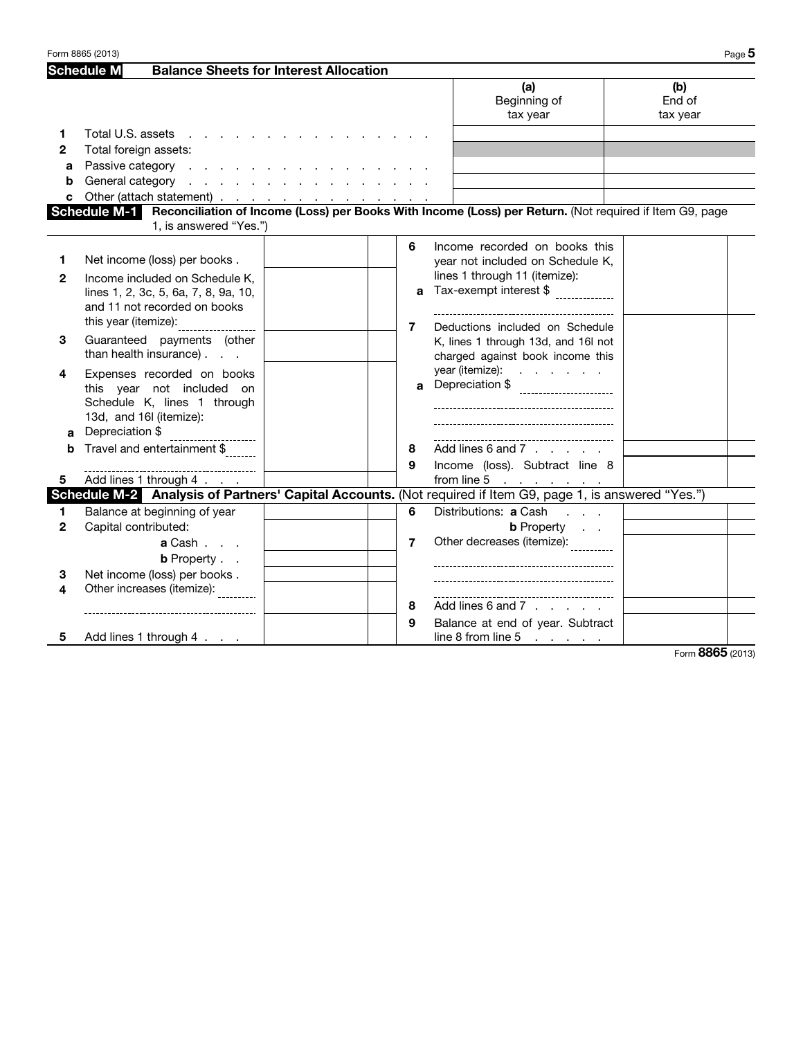|              | Form 8865 (2013)                                       |                                               |                |                                                                                                                      | Page $5$                  |  |
|--------------|--------------------------------------------------------|-----------------------------------------------|----------------|----------------------------------------------------------------------------------------------------------------------|---------------------------|--|
|              | <b>Schedule M</b>                                      | <b>Balance Sheets for Interest Allocation</b> |                |                                                                                                                      |                           |  |
|              |                                                        |                                               |                | (a)<br>Beginning of<br>tax year                                                                                      | (b)<br>End of<br>tax year |  |
| 1            | Total U.S. assets                                      |                                               |                |                                                                                                                      |                           |  |
| $\mathbf{2}$ | Total foreign assets:                                  |                                               |                |                                                                                                                      |                           |  |
| a            | Passive category                                       |                                               |                |                                                                                                                      |                           |  |
| b            | General category                                       |                                               |                |                                                                                                                      |                           |  |
| c            | Other (attach statement) <u>.</u>                      |                                               |                |                                                                                                                      |                           |  |
|              | 1, is answered "Yes.")                                 |                                               |                | Schedule M-1 Reconciliation of Income (Loss) per Books With Income (Loss) per Return. (Not required if Item G9, page |                           |  |
|              |                                                        |                                               | 6              | Income recorded on books this                                                                                        |                           |  |
| 1            | Net income (loss) per books.                           |                                               |                | year not included on Schedule K,                                                                                     |                           |  |
| $\mathbf{2}$ | Income included on Schedule K.                         |                                               |                | lines 1 through 11 (itemize):                                                                                        |                           |  |
|              | lines 1, 2, 3c, 5, 6a, 7, 8, 9a, 10,                   |                                               | a              | Tax-exempt interest \$                                                                                               |                           |  |
|              | and 11 not recorded on books                           |                                               |                |                                                                                                                      |                           |  |
|              |                                                        |                                               | 7              | Deductions included on Schedule                                                                                      |                           |  |
| 3            | Guaranteed payments (other                             |                                               |                | K, lines 1 through 13d, and 16l not                                                                                  |                           |  |
|              | than health insurance)                                 |                                               |                | charged against book income this                                                                                     |                           |  |
| 4            | Expenses recorded on books                             |                                               | a.             | year (itemize): $\ldots$ $\ldots$ $\ldots$                                                                           |                           |  |
|              | this year not included on                              |                                               |                | Depreciation \$                                                                                                      |                           |  |
|              | Schedule K, lines 1 through<br>13d, and 16I (itemize): |                                               |                |                                                                                                                      |                           |  |
| a            | Depreciation \$                                        |                                               |                |                                                                                                                      |                           |  |
| b            | ----------------------<br>Travel and entertainment \$  |                                               | 8              | Add lines 6 and 7 $\ldots$ ,                                                                                         |                           |  |
|              |                                                        |                                               | 9              | Income (loss). Subtract line 8                                                                                       |                           |  |
| 5.           | Add lines 1 through 4                                  |                                               |                | from line 5 $\ldots$ $\ldots$                                                                                        |                           |  |
|              |                                                        |                                               |                | Schedule M-2 Analysis of Partners' Capital Accounts. (Not required if Item G9, page 1, is answered "Yes.")           |                           |  |
| 1            | Balance at beginning of year                           |                                               | 6              | Distributions: a Cash                                                                                                |                           |  |
| $\mathbf{2}$ | Capital contributed:                                   |                                               |                | <b>b</b> Property                                                                                                    |                           |  |
|              | <b>a</b> Cash                                          |                                               | $\overline{7}$ | Other decreases (itemize):                                                                                           |                           |  |
|              | <b>b</b> Property                                      |                                               |                |                                                                                                                      |                           |  |
| 3            | Net income (loss) per books.                           |                                               |                |                                                                                                                      |                           |  |
| 4            | Other increases (itemize):                             |                                               |                |                                                                                                                      |                           |  |
|              |                                                        |                                               | 8              | Add lines 6 and 7                                                                                                    |                           |  |
|              |                                                        |                                               | 9              | Balance at end of year. Subtract                                                                                     |                           |  |
| 5            | Add lines 1 through 4                                  |                                               |                | line 8 from line $5 \cdot \cdot \cdot \cdot$                                                                         |                           |  |